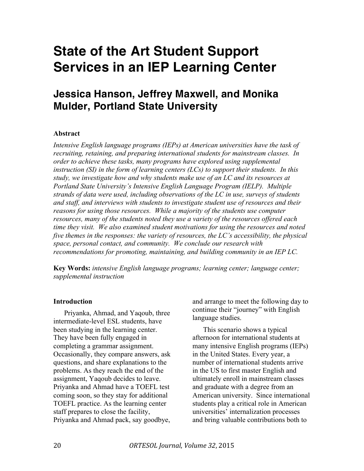# **State of the Art Student Support Services in an IEP Learning Center**

## **Jessica Hanson, Jeffrey Maxwell, and Monika Mulder, Portland State University**

#### **Abstract**

*Intensive English language programs (IEPs) at American universities have the task of recruiting, retaining, and preparing international students for mainstream classes. In order to achieve these tasks, many programs have explored using supplemental instruction (SI) in the form of learning centers (LCs) to support their students. In this study, we investigate how and why students make use of an LC and its resources at Portland State University's Intensive English Language Program (IELP). Multiple strands of data were used, including observations of the LC in use, surveys of students and staff, and interviews with students to investigate student use of resources and their reasons for using those resources. While a majority of the students use computer resources, many of the students noted they use a variety of the resources offered each time they visit. We also examined student motivations for using the resources and noted five themes in the responses: the variety of resources, the LC's accessibility, the physical space, personal contact, and community. We conclude our research with recommendations for promoting, maintaining, and building community in an IEP LC.*

**Key Words:** *intensive English language programs; learning center; language center; supplemental instruction*

#### **Introduction**

Priyanka, Ahmad, and Yaqoub, three intermediate-level ESL students, have been studying in the learning center. They have been fully engaged in completing a grammar assignment. Occasionally, they compare answers, ask questions, and share explanations to the problems. As they reach the end of the assignment, Yaqoub decides to leave. Priyanka and Ahmad have a TOEFL test coming soon, so they stay for additional TOEFL practice. As the learning center staff prepares to close the facility, Priyanka and Ahmad pack, say goodbye,

and arrange to meet the following day to continue their "journey" with English language studies.

This scenario shows a typical afternoon for international students at many intensive English programs (IEPs) in the United States. Every year, a number of international students arrive in the US to first master English and ultimately enroll in mainstream classes and graduate with a degree from an American university. Since international students play a critical role in American universities' internalization processes and bring valuable contributions both to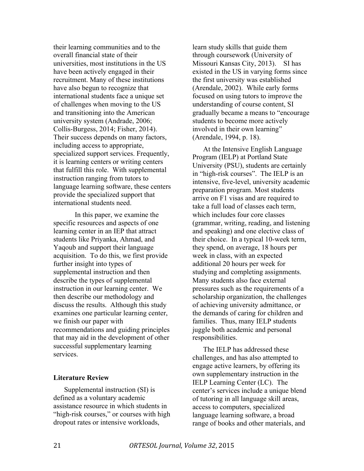their learning communities and to the overall financial state of their universities, most institutions in the US have been actively engaged in their recruitment. Many of these institutions have also begun to recognize that international students face a unique set of challenges when moving to the US and transitioning into the American university system (Andrade, 2006; Collis-Burgess, 2014; Fisher, 2014). Their success depends on many factors, including access to appropriate, specialized support services. Frequently, it is learning centers or writing centers that fulfill this role. With supplemental instruction ranging from tutors to language learning software, these centers provide the specialized support that international students need.

In this paper, we examine the specific resources and aspects of one learning center in an IEP that attract students like Priyanka, Ahmad, and Yaqoub and support their language acquisition. To do this, we first provide further insight into types of supplemental instruction and then describe the types of supplemental instruction in our learning center. We then describe our methodology and discuss the results. Although this study examines one particular learning center, we finish our paper with recommendations and guiding principles that may aid in the development of other successful supplementary learning services.

#### **Literature Review**

Supplemental instruction (SI) is defined as a voluntary academic assistance resource in which students in "high-risk courses," or courses with high dropout rates or intensive workloads,

learn study skills that guide them through coursework (University of Missouri Kansas City, 2013). SI has existed in the US in varying forms since the first university was established (Arendale, 2002). While early forms focused on using tutors to improve the understanding of course content, SI gradually became a means to "encourage students to become more actively involved in their own learning" (Arendale, 1994, p. 18).

At the Intensive English Language Program (IELP) at Portland State University (PSU), students are certainly in "high-risk courses". The IELP is an intensive, five-level, university academic preparation program. Most students arrive on F1 visas and are required to take a full load of classes each term, which includes four core classes (grammar, writing, reading, and listening and speaking) and one elective class of their choice. In a typical 10-week term, they spend, on average, 18 hours per week in class, with an expected additional 20 hours per week for studying and completing assignments. Many students also face external pressures such as the requirements of a scholarship organization, the challenges of achieving university admittance, or the demands of caring for children and families. Thus, many IELP students juggle both academic and personal responsibilities.

The IELP has addressed these challenges, and has also attempted to engage active learners, by offering its own supplementary instruction in the IELP Learning Center (LC). The center's services include a unique blend of tutoring in all language skill areas, access to computers, specialized language learning software, a broad range of books and other materials, and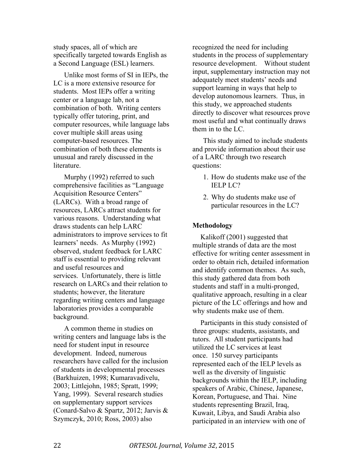study spaces, all of which are specifically targeted towards English as a Second Language (ESL) learners.

Unlike most forms of SI in IEPs, the LC is a more extensive resource for students. Most IEPs offer a writing center or a language lab, not a combination of both. Writing centers typically offer tutoring, print, and computer resources, while language labs cover multiple skill areas using computer-based resources. The combination of both these elements is unusual and rarely discussed in the **literature** 

Murphy (1992) referred to such comprehensive facilities as "Language Acquisition Resource Centers" (LARCs). With a broad range of resources, LARCs attract students for various reasons. Understanding what draws students can help LARC administrators to improve services to fit learners' needs. As Murphy (1992) observed, student feedback for LARC staff is essential to providing relevant and useful resources and services. Unfortunately, there is little research on LARCs and their relation to students; however, the literature regarding writing centers and language laboratories provides a comparable background.

A common theme in studies on writing centers and language labs is the need for student input in resource development. Indeed, numerous researchers have called for the inclusion of students in developmental processes (Barkhuizen, 1998; Kumaravadivelu, 2003; Littlejohn, 1985; Spratt, 1999; Yang, 1999). Several research studies on supplementary support services (Conard-Salvo & Spartz, 2012; Jarvis & Szymczyk, 2010; Ross, 2003) also

recognized the need for including students in the process of supplementary resource development. Without student input, supplementary instruction may not adequately meet students' needs and support learning in ways that help to develop autonomous learners. Thus, in this study, we approached students directly to discover what resources prove most useful and what continually draws them in to the LC.

This study aimed to include students and provide information about their use of a LARC through two research questions:

- 1. How do students make use of the IELP LC?
- 2. Why do students make use of particular resources in the LC?

#### **Methodology**

Kalikoff (2001) suggested that multiple strands of data are the most effective for writing center assessment in order to obtain rich, detailed information and identify common themes. As such, this study gathered data from both students and staff in a multi-pronged, qualitative approach, resulting in a clear picture of the LC offerings and how and why students make use of them.

Participants in this study consisted of three groups: students, assistants, and tutors. All student participants had utilized the LC services at least once. 150 survey participants represented each of the IELP levels as well as the diversity of linguistic backgrounds within the IELP, including speakers of Arabic, Chinese, Japanese, Korean, Portuguese, and Thai. Nine students representing Brazil, Iraq, Kuwait, Libya, and Saudi Arabia also participated in an interview with one of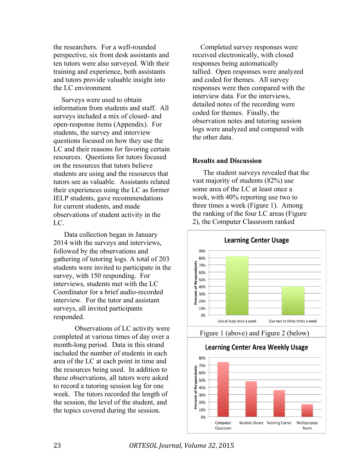the researchers. For a well-rounded perspective, six front desk assistants and ten tutors were also surveyed. With their training and experience, both assistants and tutors provide valuable insight into the LC environment.

Surveys were used to obtain information from students and staff. All surveys included a mix of closed- and open-response items (Appendix). For students, the survey and interview questions focused on how they use the LC and their reasons for favoring certain resources. Questions for tutors focused on the resources that tutors believe students are using and the resources that tutors see as valuable. Assistants related their experiences using the LC as former IELP students, gave recommendations for current students, and made observations of student activity in the LC.

Data collection began in January 2014 with the surveys and interviews, followed by the observations and gathering of tutoring logs. A total of 203 students were invited to participate in the survey, with 150 responding. For interviews, students met with the LC Coordinator for a brief audio-recorded interview. For the tutor and assistant surveys, all invited participants responded.

Observations of LC activity were completed at various times of day over a month-long period. Data in this strand included the number of students in each area of the LC at each point in time and the resources being used. In addition to these observations, all tutors were asked to record a tutoring session log for one week. The tutors recorded the length of the session, the level of the student, and the topics covered during the session.

Completed survey responses were received electronically, with closed responses being automatically tallied. Open responses were analyzed and coded for themes. All survey responses were then compared with the interview data. For the interviews, detailed notes of the recording were coded for themes. Finally, the observation notes and tutoring session logs were analyzed and compared with the other data.

#### **Results and Discussion**

The student surveys revealed that the vast majority of students (82%) use some area of the LC at least once a week, with 40% reporting use two to three times a week (Figure 1). Among the ranking of the four LC areas (Figure 2), the Computer Classroom ranked

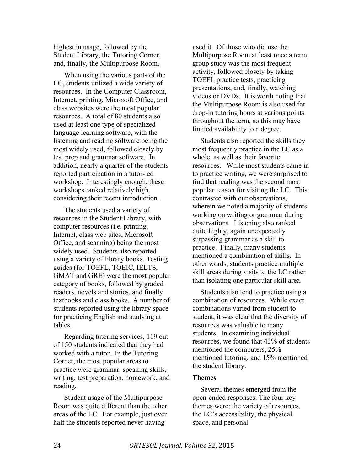highest in usage, followed by the Student Library, the Tutoring Corner, and, finally, the Multipurpose Room.

When using the various parts of the LC, students utilized a wide variety of resources. In the Computer Classroom, Internet, printing, Microsoft Office, and class websites were the most popular resources. A total of 80 students also used at least one type of specialized language learning software, with the listening and reading software being the most widely used, followed closely by test prep and grammar software. In addition, nearly a quarter of the students reported participation in a tutor-led workshop. Interestingly enough, these workshops ranked relatively high considering their recent introduction.

The students used a variety of resources in the Student Library, with computer resources (i.e. printing, Internet, class web sites, Microsoft Office, and scanning) being the most widely used. Students also reported using a variety of library books. Testing guides (for TOEFL, TOEIC, IELTS, GMAT and GRE) were the most popular category of books, followed by graded readers, novels and stories, and finally textbooks and class books. A number of students reported using the library space for practicing English and studying at tables.

Regarding tutoring services, 119 out of 150 students indicated that they had worked with a tutor. In the Tutoring Corner, the most popular areas to practice were grammar, speaking skills, writing, test preparation, homework, and reading.

Student usage of the Multipurpose Room was quite different than the other areas of the LC. For example, just over half the students reported never having

used it. Of those who did use the Multipurpose Room at least once a term, group study was the most frequent activity, followed closely by taking TOEFL practice tests, practicing presentations, and, finally, watching videos or DVDs. It is worth noting that the Multipurpose Room is also used for drop-in tutoring hours at various points throughout the term, so this may have limited availability to a degree.

Students also reported the skills they most frequently practice in the LC as a whole, as well as their favorite resources. While most students came in to practice writing, we were surprised to find that reading was the second most popular reason for visiting the LC. This contrasted with our observations, wherein we noted a majority of students working on writing or grammar during observations. Listening also ranked quite highly, again unexpectedly surpassing grammar as a skill to practice. Finally, many students mentioned a combination of skills. In other words, students practice multiple skill areas during visits to the LC rather than isolating one particular skill area.

Students also tend to practice using a combination of resources. While exact combinations varied from student to student, it was clear that the diversity of resources was valuable to many students. In examining individual resources, we found that 43% of students mentioned the computers, 25% mentioned tutoring, and 15% mentioned the student library.

#### **Themes**

Several themes emerged from the open-ended responses. The four key themes were: the variety of resources, the LC's accessibility, the physical space, and personal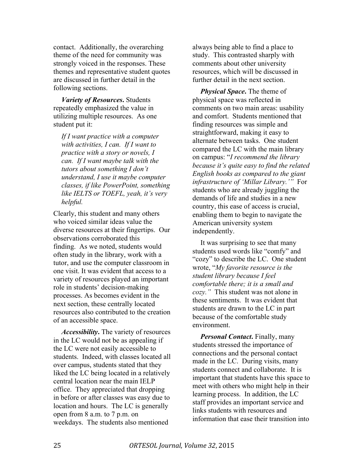contact. Additionally, the overarching theme of the need for community was strongly voiced in the responses. These themes and representative student quotes are discussed in further detail in the following sections.

*Variety of Resources***.** Students repeatedly emphasized the value in utilizing multiple resources. As one student put it:

*If I want practice with a computer with activities, I can. If I want to practice with a story or novels, I can. If I want maybe talk with the tutors about something I don't understand, I use it maybe computer classes, if like PowerPoint, something like IELTS or TOEFL, yeah, it's very helpful.*

Clearly, this student and many others who voiced similar ideas value the diverse resources at their fingertips. Our observations corroborated this finding. As we noted, students would often study in the library, work with a tutor, and use the computer classroom in one visit. It was evident that access to a variety of resources played an important role in students' decision-making processes. As becomes evident in the next section, these centrally located resources also contributed to the creation of an accessible space.

*Accessibility***.** The variety of resources in the LC would not be as appealing if the LC were not easily accessible to students. Indeed, with classes located all over campus, students stated that they liked the LC being located in a relatively central location near the main IELP office. They appreciated that dropping in before or after classes was easy due to location and hours. The LC is generally open from 8 a.m. to 7 p.m. on weekdays. The students also mentioned

always being able to find a place to study. This contrasted sharply with comments about other university resources, which will be discussed in further detail in the next section.

*Physical Space***.** The theme of physical space was reflected in comments on two main areas: usability and comfort. Students mentioned that finding resources was simple and straightforward, making it easy to alternate between tasks. One student compared the LC with the main library on campus: "*I recommend the library because it's quite easy to find the related English books as compared to the giant infrastructure of 'Millar Library.'"* For students who are already juggling the demands of life and studies in a new country, this ease of access is crucial, enabling them to begin to navigate the American university system independently.

It was surprising to see that many students used words like "comfy" and "cozy" to describe the LC. One student wrote, "*My favorite resource is the student library because I feel comfortable there; it is a small and cozy."* This student was not alone in these sentiments. It was evident that students are drawn to the LC in part because of the comfortable study environment.

*Personal Contact***. Finally, many** students stressed the importance of connections and the personal contact made in the LC. During visits, many students connect and collaborate. It is important that students have this space to meet with others who might help in their learning process. In addition, the LC staff provides an important service and links students with resources and information that ease their transition into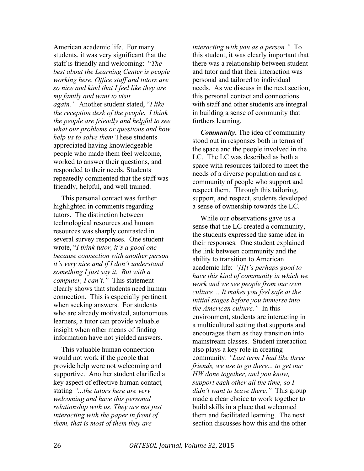American academic life. For many students, it was very significant that the staff is friendly and welcoming: "*The best about the Learning Center is people working here. Office staff and tutors are so nice and kind that I feel like they are my family and want to visit again."* Another student stated, "*I like the reception desk of the people. I think the people are friendly and helpful to see what our problems or questions and how help us to solve them* These students appreciated having knowledgeable people who made them feel welcome, worked to answer their questions, and responded to their needs. Students repeatedly commented that the staff was friendly, helpful, and well trained.

This personal contact was further highlighted in comments regarding tutors. The distinction between technological resources and human resources was sharply contrasted in several survey responses. One student wrote, "*I think tutor, it's a good one because connection with another person it's very nice and if I don't understand something I just say it. But with a computer, I can't."* This statement clearly shows that students need human connection. This is especially pertinent when seeking answers. For students who are already motivated, autonomous learners, a tutor can provide valuable insight when other means of finding information have not yielded answers.

This valuable human connection would not work if the people that provide help were not welcoming and supportive. Another student clarified a key aspect of effective human contact*,*  stating *"...the tutors here are very welcoming and have this personal relationship with us. They are not just interacting with the paper in front of them, that is most of them they are* 

*interacting with you as a person."* To this student, it was clearly important that there was a relationship between student and tutor and that their interaction was personal and tailored to individual needs. As we discuss in the next section, this personal contact and connections with staff and other students are integral in building a sense of community that furthers learning.

*Community***.** The idea of community stood out in responses both in terms of the space and the people involved in the LC. The LC was described as both a space with resources tailored to meet the needs of a diverse population and as a community of people who support and respect them. Through this tailoring, support, and respect, students developed a sense of ownership towards the LC.

While our observations gave us a sense that the LC created a community, the students expressed the same idea in their responses. One student explained the link between community and the ability to transition to American academic life: *"[I]t's perhaps good to have this kind of community in which we work and we see people from our own culture ... It makes you feel safe at the initial stages before you immerse into the American culture."* In this environment, students are interacting in a multicultural setting that supports and encourages them as they transition into mainstream classes. Student interaction also plays a key role in creating community: *"Last term I had like three friends, we use to go there... to get our HW done together, and you know, support each other all the time, so I didn't want to leave there."* This group made a clear choice to work together to build skills in a place that welcomed them and facilitated learning. The next section discusses how this and the other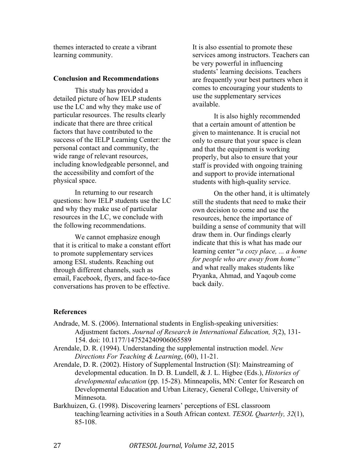themes interacted to create a vibrant learning community.

#### **Conclusion and Recommendations**

This study has provided a detailed picture of how IELP students use the LC and why they make use of particular resources. The results clearly indicate that there are three critical factors that have contributed to the success of the IELP Learning Center: the personal contact and community, the wide range of relevant resources, including knowledgeable personnel, and the accessibility and comfort of the physical space.

In returning to our research questions: how IELP students use the LC and why they make use of particular resources in the LC, we conclude with the following recommendations.

We cannot emphasize enough that it is critical to make a constant effort to promote supplementary services among ESL students. Reaching out through different channels, such as email, Facebook, flyers, and face-to-face conversations has proven to be effective.

It is also essential to promote these services among instructors. Teachers can be very powerful in influencing students' learning decisions. Teachers are frequently your best partners when it comes to encouraging your students to use the supplementary services available.

It is also highly recommended that a certain amount of attention be given to maintenance. It is crucial not only to ensure that your space is clean and that the equipment is working properly, but also to ensure that your staff is provided with ongoing training and support to provide international students with high-quality service.

On the other hand, it is ultimately still the students that need to make their own decision to come and use the resources, hence the importance of building a sense of community that will draw them in. Our findings clearly indicate that this is what has made our learning center "*a cozy place, ... a home for people who are away from home"* and what really makes students like Pryanka, Ahmad, and Yaqoub come back daily.

#### **References**

- Andrade, M. S. (2006). International students in English-speaking universities: Adjustment factors. *Journal of Research in International Education, 5*(2), 131- 154. doi: 10.1177/147524240906065589
- Arendale, D. R. (1994). Understanding the supplemental instruction model. *New Directions For Teaching & Learning*, (60), 11-21.
- Arendale, D. R. (2002). History of Supplemental Instruction (SI): Mainstreaming of developmental education. In D. B. Lundell, & J. L. Higbee (Eds.), *Histories of developmental education* (pp. 15-28). Minneapolis, MN: Center for Research on Developmental Education and Urban Literacy, General College, University of Minnesota.
- Barkhuizen, G. (1998). Discovering learners' perceptions of ESL classroom teaching/learning activities in a South African context. *TESOL Quarterly, 32*(1), 85-108.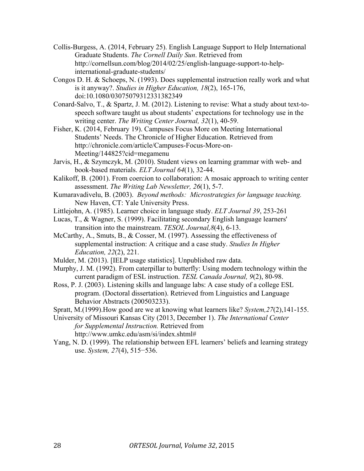- Collis-Burgess, A. (2014, February 25). English Language Support to Help International Graduate Students. *The Cornell Daily Sun*. Retrieved from http://cornellsun.com/blog/2014/02/25/english-language-support-to-helpinternational-graduate-students/
- Congos D. H. & Schoeps, N. (1993). Does supplemental instruction really work and what is it anyway?. *Studies in Higher Education, 18*(2), 165-176, doi:10.1080/03075079312331382349
- Conard-Salvo, T., & Spartz, J. M. (2012). Listening to revise: What a study about text-tospeech software taught us about students' expectations for technology use in the writing center. *The Writing Center Journal, 32*(1), 40-59.
- Fisher, K. (2014, February 19). Campuses Focus More on Meeting International Students' Needs. The Chronicle of Higher Education. Retrieved from http://chronicle.com/article/Campuses-Focus-More-on-Meeting/144825?cid=megamenu
- Jarvis, H., & Szymczyk, M. (2010). Student views on learning grammar with web- and book-based materials. *ELT Journal 64*(1), 32-44.
- Kalikoff, B. (2001). From coercion to collaboration: A mosaic approach to writing center assessment. *The Writing Lab Newsletter, 26*(1), 5-7.
- Kumaravadivelu, B. (2003). *Beyond methods: Microstrategies for language teaching.* New Haven, CT: Yale University Press.
- Littlejohn, A. (1985). Learner choice in language study. *ELT Journal 39*, 253-261
- Lucas, T., & Wagner, S. (1999). Facilitating secondary English language learners' transition into the mainstream. *TESOL Journal,8*(4), 6-13.
- McCarthy, A., Smuts, B., & Cosser, M. (1997). Assessing the effectiveness of supplemental instruction: A critique and a case study. *Studies In Higher Education, 22*(2), 221.
- Mulder, M. (2013). [IELP usage statistics]. Unpublished raw data.
- Murphy, J. M. (1992). From caterpillar to butterfly: Using modern technology within the current paradigm of ESL instruction. *TESL Canada Journal, 9*(2), 80-98.
- Ross, P. J. (2003). Listening skills and language labs: A case study of a college ESL program. (Doctoral dissertation). Retrieved from Linguistics and Language Behavior Abstracts (200503233).

Spratt, M.(1999).How good are we at knowing what learners like? *System,27*(2),141-155.

- University of Missouri Kansas City (2013, December 1). *The International Center for Supplemental Instruction.* Retrieved from http://www.umkc.edu/asm/si/index.shtml#
- Yang, N. D. (1999). The relationship between EFL learners' beliefs and learning strategy use. *System, 27*(4), 515−536.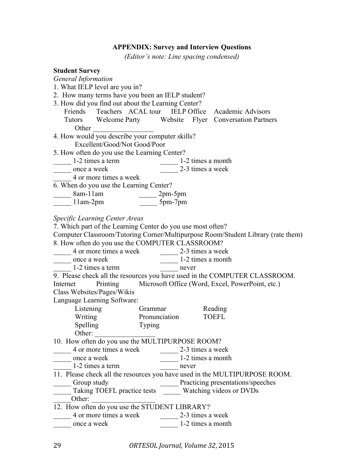#### **APPENDIX: Survey and Interview Questions**

*(Editor's note: Line spacing condensed)*

#### **Student Survey**

*General Information* 1. What IELP level are you in? 2. How many terms have you been an IELP student? 3. How did you find out about the Learning Center? Friends Teachers ACAL tour IELP Office Academic Advisors Tutors Welcome Party Website Flyer Conversation Partners Other 4. How would you describe your computer skills? Excellent/Good/Not Good/Poor 5. How often do you use the Learning Center? 1-2 times a term 1-2 times a month once a week 2-3 times a week \_\_\_\_\_ 4 or more times a week 6. When do you use the Learning Center?  $\frac{\text{8am-11am}}{\text{11am-2pm}} \qquad \frac{\text{2pm-5pm}}{\text{5pm-7pm}}$  $11$ am-2pm *Specific Learning Center Areas* 7. Which part of the Learning Center do you use most often? Computer Classroom/Tutoring Corner/Multipurpose Room/Student Library (rate them) 8. How often do you use the COMPUTER CLASSROOM? \_\_\_\_\_ 4 or more times a week \_\_\_\_\_ 2-3 times a week once a week 1-2 times a month \_\_\_\_\_ 1-2 times a term \_\_\_\_\_ never 9. Please check all the resources you have used in the COMPUTER CLASSROOM. Internet Printing Microsoft Office (Word, Excel, PowerPoint, etc.) Class Websites/Pages/Wikis Language Learning Software: Listening Grammar Reading<br>Writing Pronunciation TOEFL Writing Pronunciation TOEFL Spelling Typing Other: 10. How often do you use the MULTIPURPOSE ROOM? \_\_\_\_\_\_ 4 or more times a week \_\_\_\_\_\_\_\_ 2-3 times a week once a week 1-2 times a month 1-2 times a term quality never 11. Please check all the resources you have used in the MULTIPURPOSE ROOM. \_\_\_\_\_ Group study \_\_\_\_\_ Practicing presentations/speeches \_\_\_\_\_ Taking TOEFL practice tests \_\_\_\_\_ Watching videos or DVDs Other:  $\qquad \qquad \qquad$ 12. How often do you use the STUDENT LIBRARY? 4 or more times a week 2-3 times a week once a week 1-2 times a month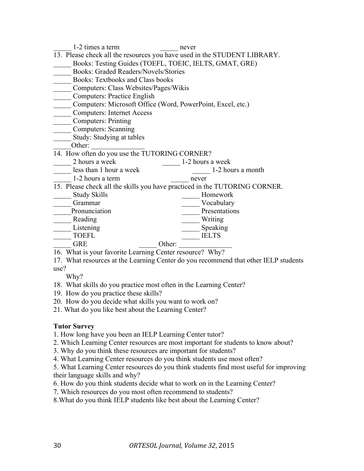| 1-2 times a term                                                                 | never             |
|----------------------------------------------------------------------------------|-------------------|
| 13. Please check all the resources you have used in the STUDENT LIBRARY.         |                   |
| Books: Testing Guides (TOEFL, TOEIC, IELTS, GMAT, GRE)                           |                   |
| <b>Books: Graded Readers/Novels/Stories</b>                                      |                   |
| <b>Books: Textbooks and Class books</b>                                          |                   |
| Computers: Class Websites/Pages/Wikis                                            |                   |
| <b>Computers: Practice English</b>                                               |                   |
| Computers: Microsoft Office (Word, PowerPoint, Excel, etc.)                      |                   |
| <b>Computers: Internet Access</b>                                                |                   |
| <b>Computers: Printing</b>                                                       |                   |
| <b>Computers:</b> Scanning                                                       |                   |
| Study: Studying at tables                                                        |                   |
| Other:                                                                           |                   |
| 14. How often do you use the TUTORING CORNER?                                    |                   |
| 2 hours a week                                                                   | 1-2 hours a week  |
| less than 1 hour a week                                                          | 1-2 hours a month |
| 1-2 hours a term                                                                 | never             |
| 15. Please check all the skills you have practiced in the TUTORING CORNER.       |                   |
| <b>Study Skills</b>                                                              | Homework          |
| Grammar                                                                          | Vocabulary        |
| Pronunciation                                                                    | Presentations     |
| Reading                                                                          | Writing           |
| Listening                                                                        | Speaking          |
| <b>TOEFL</b>                                                                     | <b>IELTS</b>      |
| <b>GRE</b><br>Other:                                                             |                   |
| 16. What is your favorite Learning Center resource? Why?                         |                   |
| 17. What resources at the Learning Center do you recommend that other IEI P stud |                   |

17. What resources at the Learning Center do you recommend that other IELP students use?

Why?

- 18. What skills do you practice most often in the Learning Center?
- 19. How do you practice these skills?
- 20. How do you decide what skills you want to work on?
- 21. What do you like best about the Learning Center?

#### **Tutor Survey**

- 1. How long have you been an IELP Learning Center tutor?
- 2. Which Learning Center resources are most important for students to know about?
- 3. Why do you think these resources are important for students?
- 4. What Learning Center resources do you think students use most often?

5. What Learning Center resources do you think students find most useful for improving their language skills and why?

- 6. How do you think students decide what to work on in the Learning Center?
- 7. Which resources do you most often recommend to students?

8.What do you think IELP students like best about the Learning Center?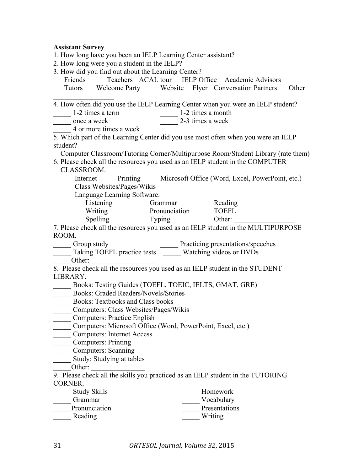### **Assistant Survey**

| 1. How long have you been an IELP Learning Center assistant?                                      |                                 |  |                                                           |  |
|---------------------------------------------------------------------------------------------------|---------------------------------|--|-----------------------------------------------------------|--|
| 2. How long were you a student in the IELP?                                                       |                                 |  |                                                           |  |
| 3. How did you find out about the Learning Center?                                                |                                 |  |                                                           |  |
| Friends                                                                                           |                                 |  | Teachers ACAL tour IELP Office Academic Advisors          |  |
| Tutors Welcome Party Website Flyer Conversation Partners Other                                    |                                 |  |                                                           |  |
| 4. How often did you use the IELP Learning Center when you were an IELP student?                  |                                 |  |                                                           |  |
| 1-2 times a term                                                                                  | $\frac{1}{2}$ 1-2 times a month |  |                                                           |  |
| once a week                                                                                       | 2-3 times a week                |  |                                                           |  |
| 4 or more times a week                                                                            |                                 |  |                                                           |  |
| 5. Which part of the Learning Center did you use most often when you were an IELP<br>student?     |                                 |  |                                                           |  |
| Computer Classroom/Tutoring Corner/Multipurpose Room/Student Library (rate them)                  |                                 |  |                                                           |  |
| 6. Please check all the resources you used as an IELP student in the COMPUTER<br>CLASSROOM.       |                                 |  |                                                           |  |
| Internet<br>Class Websites/Pages/Wikis                                                            |                                 |  | Printing Microsoft Office (Word, Excel, PowerPoint, etc.) |  |
| Language Learning Software:                                                                       |                                 |  |                                                           |  |
| Listening Grammar Reading<br>Writing Pronunciation TOEFL                                          |                                 |  |                                                           |  |
|                                                                                                   |                                 |  |                                                           |  |
| Spelling Typing                                                                                   |                                 |  | Other:                                                    |  |
| 7. Please check all the resources you used as an IELP student in the MULTIPURPOSE                 |                                 |  |                                                           |  |
| ROOM.                                                                                             |                                 |  |                                                           |  |
| Group study<br>Taking TOEFL practice tests<br>Watching videos or DVDs                             |                                 |  |                                                           |  |
|                                                                                                   |                                 |  |                                                           |  |
| Other:                                                                                            |                                 |  |                                                           |  |
| 8. Please check all the resources you used as an IELP student in the STUDENT                      |                                 |  |                                                           |  |
| LIBRARY.                                                                                          |                                 |  |                                                           |  |
| Books: Testing Guides (TOEFL, TOEIC, IELTS, GMAT, GRE)                                            |                                 |  |                                                           |  |
| <b>Books: Graded Readers/Novels/Stories</b>                                                       |                                 |  |                                                           |  |
| Books: Textbooks and Class books                                                                  |                                 |  |                                                           |  |
| Computers: Class Websites/Pages/Wikis                                                             |                                 |  |                                                           |  |
| <b>Computers: Practice English</b>                                                                |                                 |  |                                                           |  |
| Computers: Microsoft Office (Word, PowerPoint, Excel, etc.)                                       |                                 |  |                                                           |  |
| <b>Computers: Internet Access</b>                                                                 |                                 |  |                                                           |  |
| Computers: Printing                                                                               |                                 |  |                                                           |  |
| <b>Computers: Scanning</b>                                                                        |                                 |  |                                                           |  |
| Study: Studying at tables                                                                         |                                 |  |                                                           |  |
| Other:                                                                                            |                                 |  |                                                           |  |
| 9. Please check all the skills you practiced as an IELP student in the TUTORING<br><b>CORNER.</b> |                                 |  |                                                           |  |
| <b>Study Skills</b>                                                                               |                                 |  | Homework                                                  |  |
| Grammar                                                                                           |                                 |  | Vocabulary                                                |  |
| Pronunciation                                                                                     |                                 |  | Presentations                                             |  |
| Reading                                                                                           |                                 |  | Writing                                                   |  |
|                                                                                                   |                                 |  |                                                           |  |